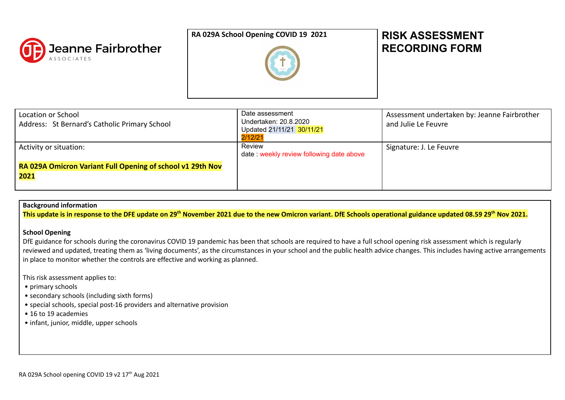

## **RA 029A School Opening COVID 19 2021 RISK ASSESSMENT**



# **RECORDING FORM**

| Location or School<br>Address: St Bernard's Catholic Primary School | Date assessment<br>Undertaken: 20.8.2020<br>Updated 21/11/21 30/11/21<br>2/12/21 | Assessment undertaken by: Jeanne Fairbrother<br>and Julie Le Feuvre |
|---------------------------------------------------------------------|----------------------------------------------------------------------------------|---------------------------------------------------------------------|
| Activity or situation:                                              | Review<br>date: weekly review following date above                               | Signature: J. Le Feuvre                                             |
| RA 029A Omicron Variant Full Opening of school v1 29th Nov          |                                                                                  |                                                                     |
| 2021                                                                |                                                                                  |                                                                     |
|                                                                     |                                                                                  |                                                                     |

### **Background information**

This update is in response to the DFE update on 29<sup>th</sup> November 2021 due to the new Omicron variant. DfE Schools operational guidance updated 08.59 29<sup>th</sup> Nov 2021.

#### **School Opening**

DfE guidance for schools during the coronavirus COVID 19 pandemic has been that schools are required to have a full school opening risk assessment which is regularly reviewed and updated, treating them as 'living documents', as the circumstances in your school and the public health advice changes. This includes having active arrangements in place to monitor whether the controls are effective and working as planned.

This risk assessment applies to:

- primary schools
- secondary schools (including sixth forms)
- special schools, special post-16 providers and alternative provision
- 16 to 19 academies
- infant, junior, middle, upper schools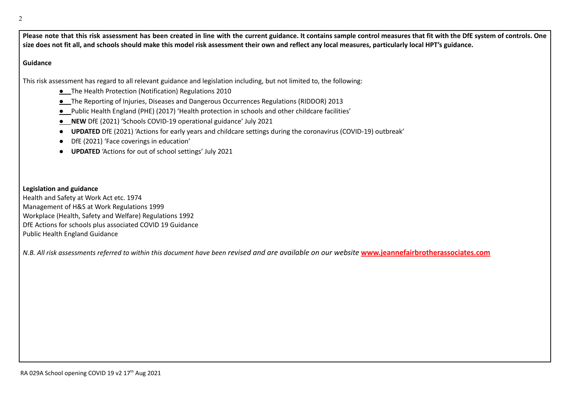Please note that this risk assessment has been created in line with the current guidance. It contains sample control measures that fit with the DfE system of controls. One size does not fit all, and schools should make this model risk assessment their own and reflect any local measures, particularly local HPT's guidance.

#### **Guidance**

This risk assessment has regard to all relevant guidance and legislation including, but not limited to, the following:

- **●** The Health Protection (Notification) Regulations 2010
- **●** The Reporting of Injuries, Diseases and Dangerous Occurrences Regulations (RIDDOR) 2013
- **●** Public Health England (PHE) (2017) 'Health protection in schools and other childcare facilities'
- **● NEW** DfE (2021) 'Schools COVID-19 operational guidance' July 2021
- **UPDATED** DfE (2021) 'Actions for early years and childcare settings during the coronavirus (COVID-19) outbreak'
- DfE (2021) 'Face coverings in education'
- **UPDATED** 'Actions for out of school settings' July 2021

# **Legislation and guidance**

Health and Safety at Work Act etc. 1974 Management of H&S at Work Regulations 1999 Workplace (Health, Safety and Welfare) Regulations 1992 DfE Actions for schools plus associated COVID 19 Guidance Public Health England Guidance

N.B. All risk assessments referred to within this document have been revised and are available on our website [www.jeannefairbrotherassociates.com](http://www.jeannefairbrotherassociates.com)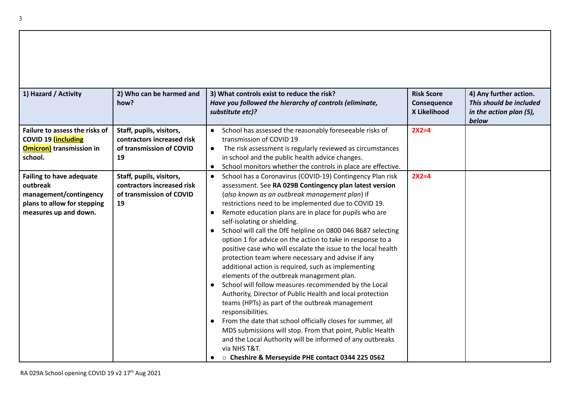| 1) Hazard / Activity                                                                                                          | 2) Who can be harmed and<br>how?                                                         | 3) What controls exist to reduce the risk?<br>Have you followed the hierarchy of controls (eliminate,<br>substitute etc)?                                                                                                                                                                                                                                                                                                                                                                                                                                                                                                                                                                                                                                                                                                                                                                                                                                                                                                                                                                                                                                                                                                 | <b>Risk Score</b><br>Consequence<br>X Likelihood | 4) Any further action.<br>This should be included<br>in the action plan (5),<br>below |
|-------------------------------------------------------------------------------------------------------------------------------|------------------------------------------------------------------------------------------|---------------------------------------------------------------------------------------------------------------------------------------------------------------------------------------------------------------------------------------------------------------------------------------------------------------------------------------------------------------------------------------------------------------------------------------------------------------------------------------------------------------------------------------------------------------------------------------------------------------------------------------------------------------------------------------------------------------------------------------------------------------------------------------------------------------------------------------------------------------------------------------------------------------------------------------------------------------------------------------------------------------------------------------------------------------------------------------------------------------------------------------------------------------------------------------------------------------------------|--------------------------------------------------|---------------------------------------------------------------------------------------|
| Failure to assess the risks of<br>COVID 19 (including<br><b>Omicron)</b> transmission in<br>school.                           | Staff, pupils, visitors,<br>contractors increased risk<br>of transmission of COVID<br>19 | School has assessed the reasonably foreseeable risks of<br>$\bullet$<br>transmission of COVID 19<br>The risk assessment is regularly reviewed as circumstances<br>$\bullet$<br>in school and the public health advice changes.<br>School monitors whether the controls in place are effective.<br>$\bullet$                                                                                                                                                                                                                                                                                                                                                                                                                                                                                                                                                                                                                                                                                                                                                                                                                                                                                                               | $2X2=4$                                          |                                                                                       |
| <b>Failing to have adequate</b><br>outbreak<br>management/contingency<br>plans to allow for stepping<br>measures up and down. | Staff, pupils, visitors,<br>contractors increased risk<br>of transmission of COVID<br>19 | School has a Coronavirus (COVID-19) Contingency Plan risk<br>$\bullet$<br>assessment. See RA 029B Contingency plan latest version<br>(also known as an outbreak management plan) if<br>restrictions need to be implemented due to COVID 19.<br>Remote education plans are in place for pupils who are<br>$\bullet$<br>self-isolating or shielding.<br>School will call the DfE helpline on 0800 046 8687 selecting<br>$\bullet$<br>option 1 for advice on the action to take in response to a<br>positive case who will escalate the issue to the local health<br>protection team where necessary and advise if any<br>additional action is required, such as implementing<br>elements of the outbreak management plan.<br>School will follow measures recommended by the Local<br>$\bullet$<br>Authority, Director of Public Health and local protection<br>teams (HPTs) as part of the outbreak management<br>responsibilities.<br>From the date that school officially closes for summer, all<br>$\bullet$<br>MDS submissions will stop. From that point, Public Health<br>and the Local Authority will be informed of any outbreaks<br>via NHS T&T.<br>○ Cheshire & Merseyside PHE contact 0344 225 0562<br>$\bullet$ | $2X2=4$                                          |                                                                                       |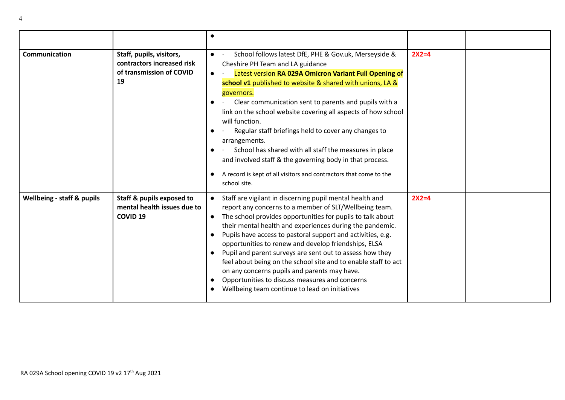|                                       |                                                                                          | $\bullet$                                                                                                                                                                                                                                                                                                                                                                                                                                                                                                                                                                                                                                                                                                 |         |
|---------------------------------------|------------------------------------------------------------------------------------------|-----------------------------------------------------------------------------------------------------------------------------------------------------------------------------------------------------------------------------------------------------------------------------------------------------------------------------------------------------------------------------------------------------------------------------------------------------------------------------------------------------------------------------------------------------------------------------------------------------------------------------------------------------------------------------------------------------------|---------|
| Communication                         | Staff, pupils, visitors,<br>contractors increased risk<br>of transmission of COVID<br>19 | School follows latest DfE, PHE & Gov.uk, Merseyside &<br>$\bullet$<br>Cheshire PH Team and LA guidance<br>Latest version RA 029A Omicron Variant Full Opening of<br>$\bullet$<br>school v1 published to website & shared with unions, LA &<br>governors.<br>Clear communication sent to parents and pupils with a<br>link on the school website covering all aspects of how school<br>will function.<br>Regular staff briefings held to cover any changes to<br>$\bullet$<br>arrangements.<br>School has shared with all staff the measures in place<br>and involved staff & the governing body in that process.<br>A record is kept of all visitors and contractors that come to the<br>school site.     | $2X2=4$ |
| <b>Wellbeing - staff &amp; pupils</b> | Staff & pupils exposed to<br>mental health issues due to<br><b>COVID 19</b>              | Staff are vigilant in discerning pupil mental health and<br>report any concerns to a member of SLT/Wellbeing team.<br>The school provides opportunities for pupils to talk about<br>$\bullet$<br>their mental health and experiences during the pandemic.<br>Pupils have access to pastoral support and activities, e.g.<br>$\bullet$<br>opportunities to renew and develop friendships, ELSA<br>Pupil and parent surveys are sent out to assess how they<br>$\bullet$<br>feel about being on the school site and to enable staff to act<br>on any concerns pupils and parents may have.<br>Opportunities to discuss measures and concerns<br>Wellbeing team continue to lead on initiatives<br>$\bullet$ | $2X2=4$ |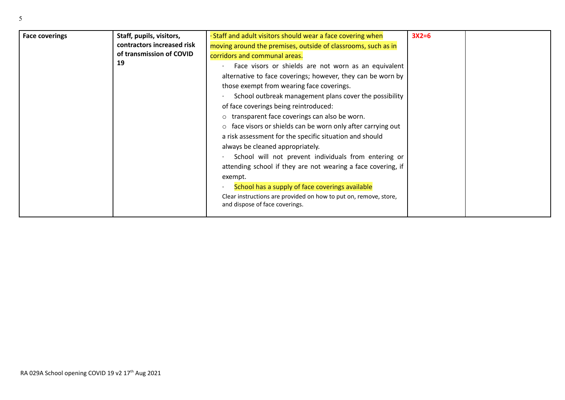| <b>Face coverings</b> | Staff, pupils, visitors,<br>contractors increased risk<br>of transmission of COVID<br>19 | · Staff and adult visitors should wear a face covering when<br>moving around the premises, outside of classrooms, such as in<br>corridors and communal areas.<br>Face visors or shields are not worn as an equivalent<br>alternative to face coverings; however, they can be worn by<br>those exempt from wearing face coverings.<br>School outbreak management plans cover the possibility<br>of face coverings being reintroduced:<br>o transparent face coverings can also be worn.<br>$\circ$ face visors or shields can be worn only after carrying out<br>a risk assessment for the specific situation and should<br>always be cleaned appropriately.<br>School will not prevent individuals from entering or<br>attending school if they are not wearing a face covering, if<br>exempt.<br>School has a supply of face coverings available<br>Clear instructions are provided on how to put on, remove, store,<br>and dispose of face coverings. | $3X2=6$ |  |
|-----------------------|------------------------------------------------------------------------------------------|---------------------------------------------------------------------------------------------------------------------------------------------------------------------------------------------------------------------------------------------------------------------------------------------------------------------------------------------------------------------------------------------------------------------------------------------------------------------------------------------------------------------------------------------------------------------------------------------------------------------------------------------------------------------------------------------------------------------------------------------------------------------------------------------------------------------------------------------------------------------------------------------------------------------------------------------------------|---------|--|
|-----------------------|------------------------------------------------------------------------------------------|---------------------------------------------------------------------------------------------------------------------------------------------------------------------------------------------------------------------------------------------------------------------------------------------------------------------------------------------------------------------------------------------------------------------------------------------------------------------------------------------------------------------------------------------------------------------------------------------------------------------------------------------------------------------------------------------------------------------------------------------------------------------------------------------------------------------------------------------------------------------------------------------------------------------------------------------------------|---------|--|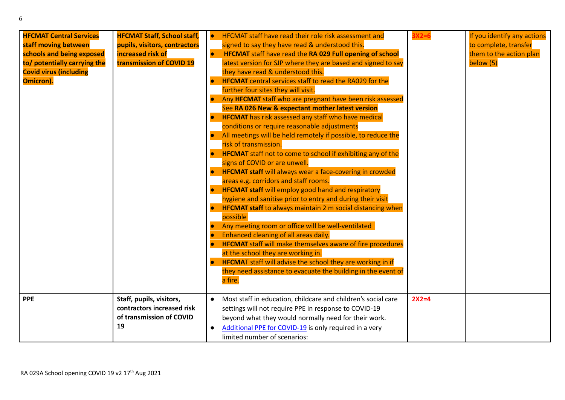| <b>HFCMAT Central Services</b><br>staff moving between<br>schools and being exposed<br>to/ potentially carrying the<br><b>Covid virus (including</b><br>Omicron). | <b>HFCMAT Staff, School staff,</b><br>pupils, visitors, contractors<br>increased risk of<br>transmission of COVID 19 | <b>HFCMAT staff have read their role risk assessment and</b><br>$\bullet$<br>signed to say they have read & understood this.<br><b>HFCMAT</b> staff have read the RA 029 Full opening of school<br>$\bullet$<br>latest version for SJP where they are based and signed to say<br>they have read & understood this.<br><b>HFCMAT</b> central services staff to read the RA029 for the<br>further four sites they will visit.<br>Any HFCMAT staff who are pregnant have been risk assessed<br>See RA 026 New & expectant mother latest version<br><b>HFCMAT</b> has risk assessed any staff who have medical<br>conditions or require reasonable adjustments<br>All meetings will be held remotely if possible, to reduce the<br>risk of transmission.<br><b>HFCMAT</b> staff not to come to school if exhibiting any of the<br>signs of COVID or are unwell.<br><b>HFCMAT staff will always wear a face-covering in crowded</b><br>areas e.g. corridors and staff rooms.<br><b>HFCMAT staff</b> will employ good hand and respiratory<br>hygiene and sanitise prior to entry and during their visit<br><b>HFCMAT staff</b> to always maintain 2 m social distancing when<br>possible<br>Any meeting room or office will be well-ventilated<br>Enhanced cleaning of all areas daily.<br><b>HFCMAT</b> staff will make themselves aware of fire procedures<br>at the school they are working in.<br><b>HFCMAT</b> staff will advise the school they are working in if<br>they need assistance to evacuate the building in the event of<br>a fire. | 3X2=6   | If you identify any actions<br>to complete, transfer<br>them to the action plan<br>below (5) |
|-------------------------------------------------------------------------------------------------------------------------------------------------------------------|----------------------------------------------------------------------------------------------------------------------|------------------------------------------------------------------------------------------------------------------------------------------------------------------------------------------------------------------------------------------------------------------------------------------------------------------------------------------------------------------------------------------------------------------------------------------------------------------------------------------------------------------------------------------------------------------------------------------------------------------------------------------------------------------------------------------------------------------------------------------------------------------------------------------------------------------------------------------------------------------------------------------------------------------------------------------------------------------------------------------------------------------------------------------------------------------------------------------------------------------------------------------------------------------------------------------------------------------------------------------------------------------------------------------------------------------------------------------------------------------------------------------------------------------------------------------------------------------------------------------------------------------------------------------------|---------|----------------------------------------------------------------------------------------------|
| <b>PPE</b>                                                                                                                                                        | Staff, pupils, visitors,<br>contractors increased risk<br>of transmission of COVID<br>19                             | Most staff in education, childcare and children's social care<br>$\bullet$<br>settings will not require PPE in response to COVID-19<br>beyond what they would normally need for their work.<br>Additional PPE for COVID-19 is only required in a very<br>limited number of scenarios:                                                                                                                                                                                                                                                                                                                                                                                                                                                                                                                                                                                                                                                                                                                                                                                                                                                                                                                                                                                                                                                                                                                                                                                                                                                          | $2X2=4$ |                                                                                              |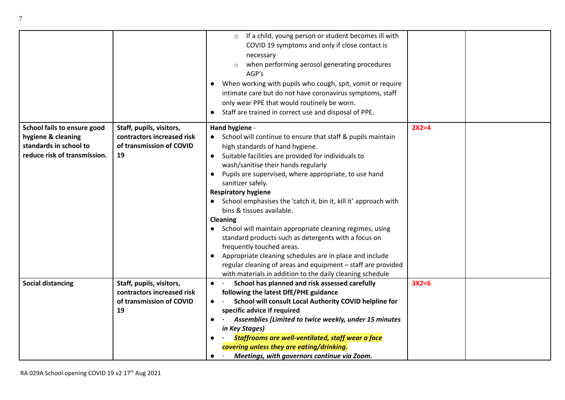|                                              |                                                        | If a child, young person or student becomes ill with<br>COVID 19 symptoms and only if close contact is<br>necessary<br>when performing aerosol generating procedures<br>AGP's<br>When working with pupils who cough, spit, vomit or require<br>$\bullet$<br>intimate care but do not have coronavirus symptoms, staff<br>only wear PPE that would routinely be worn.<br>Staff are trained in correct use and disposal of PPE.<br>$\bullet$ |         |  |
|----------------------------------------------|--------------------------------------------------------|--------------------------------------------------------------------------------------------------------------------------------------------------------------------------------------------------------------------------------------------------------------------------------------------------------------------------------------------------------------------------------------------------------------------------------------------|---------|--|
| School fails to ensure good                  | Staff, pupils, visitors,                               | Hand hygiene -                                                                                                                                                                                                                                                                                                                                                                                                                             | $2X2=4$ |  |
| hygiene & cleaning<br>standards in school to | contractors increased risk<br>of transmission of COVID | School will continue to ensure that staff & pupils maintain<br>high standards of hand hygiene.                                                                                                                                                                                                                                                                                                                                             |         |  |
| reduce risk of transmission.                 | 19                                                     | Suitable facilities are provided for individuals to<br>$\bullet$                                                                                                                                                                                                                                                                                                                                                                           |         |  |
|                                              |                                                        | wash/sanitise their hands regularly                                                                                                                                                                                                                                                                                                                                                                                                        |         |  |
|                                              |                                                        | Pupils are supervised, where appropriate, to use hand<br>$\bullet$                                                                                                                                                                                                                                                                                                                                                                         |         |  |
|                                              |                                                        | sanitizer safely.                                                                                                                                                                                                                                                                                                                                                                                                                          |         |  |
|                                              |                                                        | <b>Respiratory hygiene</b>                                                                                                                                                                                                                                                                                                                                                                                                                 |         |  |
|                                              |                                                        | School emphasises the 'catch it, bin it, kill it' approach with                                                                                                                                                                                                                                                                                                                                                                            |         |  |
|                                              |                                                        | bins & tissues available.                                                                                                                                                                                                                                                                                                                                                                                                                  |         |  |
|                                              |                                                        | <b>Cleaning</b><br>School will maintain appropriate cleaning regimes, using                                                                                                                                                                                                                                                                                                                                                                |         |  |
|                                              |                                                        | standard products such as detergents with a focus on                                                                                                                                                                                                                                                                                                                                                                                       |         |  |
|                                              |                                                        | frequently touched areas.                                                                                                                                                                                                                                                                                                                                                                                                                  |         |  |
|                                              |                                                        | Appropriate cleaning schedules are in place and include<br>$\bullet$                                                                                                                                                                                                                                                                                                                                                                       |         |  |
|                                              |                                                        | regular cleaning of areas and equipment - staff are provided                                                                                                                                                                                                                                                                                                                                                                               |         |  |
|                                              |                                                        | with materials in addition to the daily cleaning schedule                                                                                                                                                                                                                                                                                                                                                                                  |         |  |
| <b>Social distancing</b>                     | Staff, pupils, visitors,                               | School has planned and risk assessed carefully<br>$\bullet$                                                                                                                                                                                                                                                                                                                                                                                | $3X2=6$ |  |
|                                              | contractors increased risk<br>of transmission of COVID | following the latest DfE/PHE guidance                                                                                                                                                                                                                                                                                                                                                                                                      |         |  |
|                                              | 19                                                     | School will consult Local Authority COVID helpline for<br>$\bullet$<br>specific advice if required                                                                                                                                                                                                                                                                                                                                         |         |  |
|                                              |                                                        | Assemblies [Limited to twice weekly, under 15 minutes<br>$\bullet$                                                                                                                                                                                                                                                                                                                                                                         |         |  |
|                                              |                                                        | in Key Stages)                                                                                                                                                                                                                                                                                                                                                                                                                             |         |  |
|                                              |                                                        | Staffrooms are well-ventilated, staff wear a face<br>$\bullet$                                                                                                                                                                                                                                                                                                                                                                             |         |  |
|                                              |                                                        | covering unless they are eating/drinking.                                                                                                                                                                                                                                                                                                                                                                                                  |         |  |
|                                              |                                                        | Meetings, with governors continue via Zoom.<br>$\bullet$                                                                                                                                                                                                                                                                                                                                                                                   |         |  |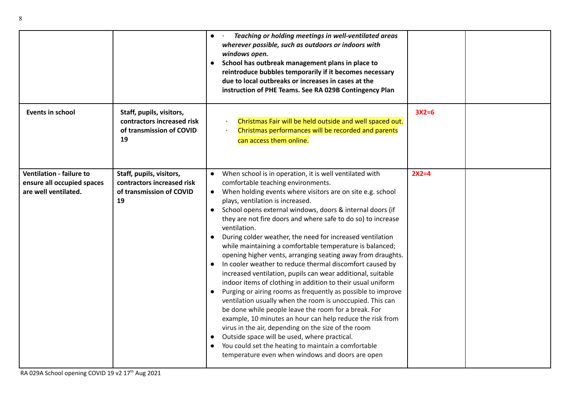|                                                                                       |                                                                                          | Teaching or holding meetings in well-ventilated areas<br>$\bullet$ $\cdot$<br>wherever possible, such as outdoors or indoors with<br>windows open.<br>School has outbreak management plans in place to<br>$\bullet$<br>reintroduce bubbles temporarily if it becomes necessary<br>due to local outbreaks or increases in cases at the<br>instruction of PHE Teams. See RA 029B Contingency Plan                                                                                                                                                                                                                                                                                                                                                                                                                                                                                                                                                                                                                                                                                                                                                                                                                                                                     |         |  |
|---------------------------------------------------------------------------------------|------------------------------------------------------------------------------------------|---------------------------------------------------------------------------------------------------------------------------------------------------------------------------------------------------------------------------------------------------------------------------------------------------------------------------------------------------------------------------------------------------------------------------------------------------------------------------------------------------------------------------------------------------------------------------------------------------------------------------------------------------------------------------------------------------------------------------------------------------------------------------------------------------------------------------------------------------------------------------------------------------------------------------------------------------------------------------------------------------------------------------------------------------------------------------------------------------------------------------------------------------------------------------------------------------------------------------------------------------------------------|---------|--|
| Events in school                                                                      | Staff, pupils, visitors,<br>contractors increased risk<br>of transmission of COVID<br>19 | Christmas Fair will be held outside and well spaced out.<br>Christmas performances will be recorded and parents<br>can access them online.                                                                                                                                                                                                                                                                                                                                                                                                                                                                                                                                                                                                                                                                                                                                                                                                                                                                                                                                                                                                                                                                                                                          | $3X2=6$ |  |
| <b>Ventilation - failure to</b><br>ensure all occupied spaces<br>are well ventilated. | Staff, pupils, visitors,<br>contractors increased risk<br>of transmission of COVID<br>19 | When school is in operation, it is well ventilated with<br>$\bullet$<br>comfortable teaching environments.<br>When holding events where visitors are on site e.g. school<br>$\bullet$<br>plays, ventilation is increased.<br>School opens external windows, doors & internal doors (if<br>$\bullet$<br>they are not fire doors and where safe to do so) to increase<br>ventilation.<br>During colder weather, the need for increased ventilation<br>while maintaining a comfortable temperature is balanced;<br>opening higher vents, arranging seating away from draughts.<br>In cooler weather to reduce thermal discomfort caused by<br>increased ventilation, pupils can wear additional, suitable<br>indoor items of clothing in addition to their usual uniform<br>Purging or airing rooms as frequently as possible to improve<br>ventilation usually when the room is unoccupied. This can<br>be done while people leave the room for a break. For<br>example, 10 minutes an hour can help reduce the risk from<br>virus in the air, depending on the size of the room<br>Outside space will be used, where practical.<br>$\bullet$<br>You could set the heating to maintain a comfortable<br>$\bullet$<br>temperature even when windows and doors are open | $2X2=4$ |  |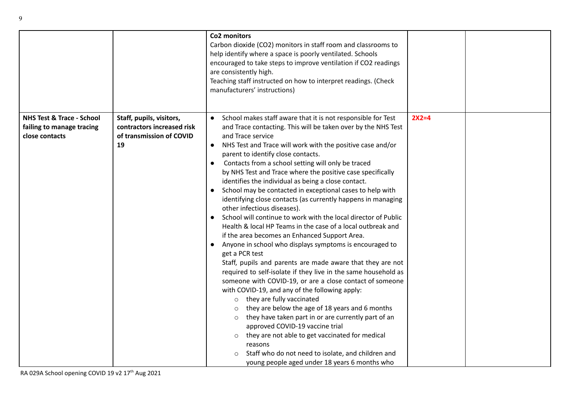|                                                                                     |                                                                                          | Co2 monitors<br>Carbon dioxide (CO2) monitors in staff room and classrooms to<br>help identify where a space is poorly ventilated. Schools<br>encouraged to take steps to improve ventilation if CO2 readings<br>are consistently high.<br>Teaching staff instructed on how to interpret readings. (Check<br>manufacturers' instructions)                                                                                                                                                                                                                                                                                                                                                                                                                                                                                                                                                                                                                                                                                                                                                                                                                                                                                                                                                                                                                                                                                                                                                                          |         |  |
|-------------------------------------------------------------------------------------|------------------------------------------------------------------------------------------|--------------------------------------------------------------------------------------------------------------------------------------------------------------------------------------------------------------------------------------------------------------------------------------------------------------------------------------------------------------------------------------------------------------------------------------------------------------------------------------------------------------------------------------------------------------------------------------------------------------------------------------------------------------------------------------------------------------------------------------------------------------------------------------------------------------------------------------------------------------------------------------------------------------------------------------------------------------------------------------------------------------------------------------------------------------------------------------------------------------------------------------------------------------------------------------------------------------------------------------------------------------------------------------------------------------------------------------------------------------------------------------------------------------------------------------------------------------------------------------------------------------------|---------|--|
| <b>NHS Test &amp; Trace - School</b><br>failing to manage tracing<br>close contacts | Staff, pupils, visitors,<br>contractors increased risk<br>of transmission of COVID<br>19 | School makes staff aware that it is not responsible for Test<br>and Trace contacting. This will be taken over by the NHS Test<br>and Trace service<br>NHS Test and Trace will work with the positive case and/or<br>$\bullet$<br>parent to identify close contacts.<br>Contacts from a school setting will only be traced<br>by NHS Test and Trace where the positive case specifically<br>identifies the individual as being a close contact.<br>School may be contacted in exceptional cases to help with<br>identifying close contacts (as currently happens in managing<br>other infectious diseases).<br>School will continue to work with the local director of Public<br>Health & local HP Teams in the case of a local outbreak and<br>if the area becomes an Enhanced Support Area.<br>Anyone in school who displays symptoms is encouraged to<br>get a PCR test<br>Staff, pupils and parents are made aware that they are not<br>required to self-isolate if they live in the same household as<br>someone with COVID-19, or are a close contact of someone<br>with COVID-19, and any of the following apply:<br>they are fully vaccinated<br>$\circ$<br>they are below the age of 18 years and 6 months<br>$\circ$<br>they have taken part in or are currently part of an<br>$\circ$<br>approved COVID-19 vaccine trial<br>they are not able to get vaccinated for medical<br>$\circ$<br>reasons<br>Staff who do not need to isolate, and children and<br>young people aged under 18 years 6 months who | $2X2=4$ |  |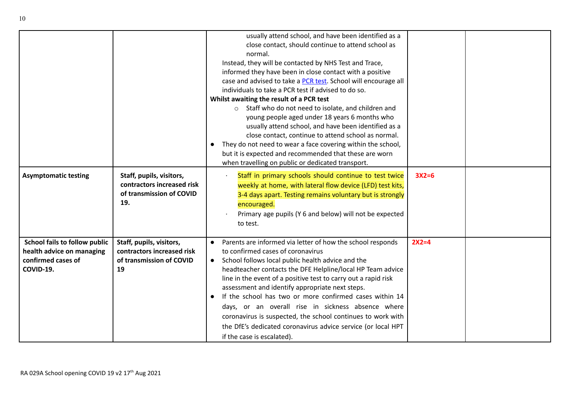|                                                                                                      |                                                                                           | usually attend school, and have been identified as a<br>close contact, should continue to attend school as<br>normal.<br>Instead, they will be contacted by NHS Test and Trace,<br>informed they have been in close contact with a positive<br>case and advised to take a <b>PCR test</b> . School will encourage all<br>individuals to take a PCR test if advised to do so.<br>Whilst awaiting the result of a PCR test<br>o Staff who do not need to isolate, and children and<br>young people aged under 18 years 6 months who<br>usually attend school, and have been identified as a<br>close contact, continue to attend school as normal.<br>They do not need to wear a face covering within the school,<br>but it is expected and recommended that these are worn<br>when travelling on public or dedicated transport. |         |  |
|------------------------------------------------------------------------------------------------------|-------------------------------------------------------------------------------------------|--------------------------------------------------------------------------------------------------------------------------------------------------------------------------------------------------------------------------------------------------------------------------------------------------------------------------------------------------------------------------------------------------------------------------------------------------------------------------------------------------------------------------------------------------------------------------------------------------------------------------------------------------------------------------------------------------------------------------------------------------------------------------------------------------------------------------------|---------|--|
| <b>Asymptomatic testing</b>                                                                          | Staff, pupils, visitors,<br>contractors increased risk<br>of transmission of COVID<br>19. | Staff in primary schools should continue to test twice<br>weekly at home, with lateral flow device (LFD) test kits,<br>3-4 days apart. Testing remains voluntary but is strongly<br>encouraged.<br>Primary age pupils (Y 6 and below) will not be expected<br>to test.                                                                                                                                                                                                                                                                                                                                                                                                                                                                                                                                                         | $3X2=6$ |  |
| <b>School fails to follow public</b><br>health advice on managing<br>confirmed cases of<br>COVID-19. | Staff, pupils, visitors,<br>contractors increased risk<br>of transmission of COVID<br>19  | Parents are informed via letter of how the school responds<br>to confirmed cases of coronavirus<br>School follows local public health advice and the<br>headteacher contacts the DFE Helpline/local HP Team advice<br>line in the event of a positive test to carry out a rapid risk<br>assessment and identify appropriate next steps.<br>If the school has two or more confirmed cases within 14<br>days, or an overall rise in sickness absence where<br>coronavirus is suspected, the school continues to work with<br>the DfE's dedicated coronavirus advice service (or local HPT<br>if the case is escalated).                                                                                                                                                                                                          | $2X2=4$ |  |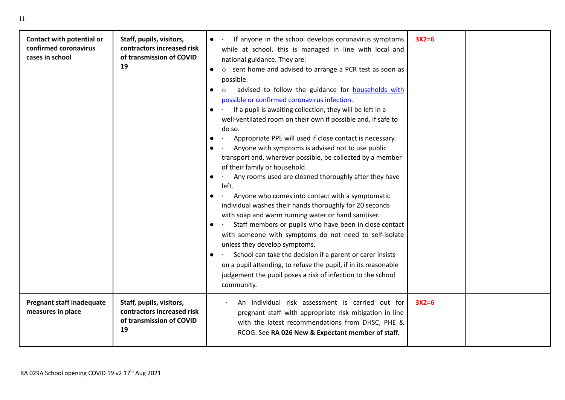| Contact with potential or<br>confirmed coronavirus<br>cases in school | Staff, pupils, visitors,<br>contractors increased risk<br>of transmission of COVID<br>19 | If anyone in the school develops coronavirus symptoms<br>while at school, this is managed in line with local and<br>national guidance. They are:<br>o sent home and advised to arrange a PCR test as soon as<br>$\bullet$<br>possible.<br>advised to follow the guidance for <b>households</b> with<br>possible or confirmed coronavirus infection.<br>If a pupil is awaiting collection, they will be left in a<br>well-ventilated room on their own if possible and, if safe to<br>do so.<br>Appropriate PPE will used if close contact is necessary.<br>Anyone with symptoms is advised not to use public<br>transport and, wherever possible, be collected by a member<br>of their family or household.<br>Any rooms used are cleaned thoroughly after they have<br>left.<br>Anyone who comes into contact with a symptomatic<br>individual washes their hands thoroughly for 20 seconds<br>with soap and warm running water or hand sanitiser.<br>Staff members or pupils who have been in close contact<br>with someone with symptoms do not need to self-isolate<br>unless they develop symptoms.<br>School can take the decision if a parent or carer insists<br>on a pupil attending, to refuse the pupil, if in its reasonable<br>judgement the pupil poses a risk of infection to the school<br>community. | $3X2=6$ |  |
|-----------------------------------------------------------------------|------------------------------------------------------------------------------------------|-----------------------------------------------------------------------------------------------------------------------------------------------------------------------------------------------------------------------------------------------------------------------------------------------------------------------------------------------------------------------------------------------------------------------------------------------------------------------------------------------------------------------------------------------------------------------------------------------------------------------------------------------------------------------------------------------------------------------------------------------------------------------------------------------------------------------------------------------------------------------------------------------------------------------------------------------------------------------------------------------------------------------------------------------------------------------------------------------------------------------------------------------------------------------------------------------------------------------------------------------------------------------------------------------------------------------|---------|--|
| <b>Pregnant staff inadequate</b><br>measures in place                 | Staff, pupils, visitors,<br>contractors increased risk<br>of transmission of COVID<br>19 | An individual risk assessment is carried out for<br>pregnant staff with appropriate risk mitigation in line<br>with the latest recommendations from DHSC, PHE &<br>RCOG. See RA 026 New & Expectant member of staff.                                                                                                                                                                                                                                                                                                                                                                                                                                                                                                                                                                                                                                                                                                                                                                                                                                                                                                                                                                                                                                                                                                  | $3X2=6$ |  |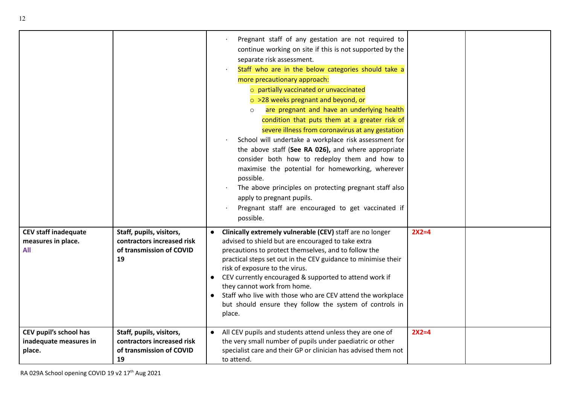|                                                            |                                                                                          | Pregnant staff of any gestation are not required to<br>continue working on site if this is not supported by the<br>separate risk assessment.<br>Staff who are in the below categories should take a<br>more precautionary approach:<br>o partially vaccinated or unvaccinated<br>$\circ$ >28 weeks pregnant and beyond, or<br>are pregnant and have an underlying health<br>$\circ$<br>condition that puts them at a greater risk of<br>severe illness from coronavirus at any gestation<br>School will undertake a workplace risk assessment for<br>the above staff (See RA 026), and where appropriate<br>consider both how to redeploy them and how to<br>maximise the potential for homeworking, wherever<br>possible.<br>The above principles on protecting pregnant staff also<br>apply to pregnant pupils.<br>Pregnant staff are encouraged to get vaccinated if<br>possible. |         |  |
|------------------------------------------------------------|------------------------------------------------------------------------------------------|--------------------------------------------------------------------------------------------------------------------------------------------------------------------------------------------------------------------------------------------------------------------------------------------------------------------------------------------------------------------------------------------------------------------------------------------------------------------------------------------------------------------------------------------------------------------------------------------------------------------------------------------------------------------------------------------------------------------------------------------------------------------------------------------------------------------------------------------------------------------------------------|---------|--|
| <b>CEV staff inadequate</b><br>measures in place.<br>All   | Staff, pupils, visitors,<br>contractors increased risk<br>of transmission of COVID<br>19 | Clinically extremely vulnerable (CEV) staff are no longer<br>advised to shield but are encouraged to take extra<br>precautions to protect themselves, and to follow the<br>practical steps set out in the CEV guidance to minimise their<br>risk of exposure to the virus.<br>CEV currently encouraged & supported to attend work if<br>they cannot work from home.<br>Staff who live with those who are CEV attend the workplace<br>but should ensure they follow the system of controls in<br>place.                                                                                                                                                                                                                                                                                                                                                                               | $2X2=4$ |  |
| CEV pupil's school has<br>inadequate measures in<br>place. | Staff, pupils, visitors,<br>contractors increased risk<br>of transmission of COVID<br>19 | All CEV pupils and students attend unless they are one of<br>the very small number of pupils under paediatric or other<br>specialist care and their GP or clinician has advised them not<br>to attend.                                                                                                                                                                                                                                                                                                                                                                                                                                                                                                                                                                                                                                                                               | $2X2=4$ |  |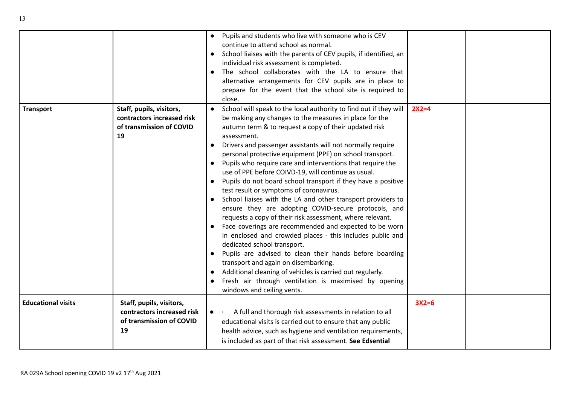|                           |                                                                                          | Pupils and students who live with someone who is CEV<br>continue to attend school as normal.<br>School liaises with the parents of CEV pupils, if identified, an<br>individual risk assessment is completed.<br>The school collaborates with the LA to ensure that<br>$\bullet$<br>alternative arrangements for CEV pupils are in place to<br>prepare for the event that the school site is required to<br>close.                                                                                                                                                                                                                                                                                                                                                                                                                                                                                                                                                                                                                                                                                                                                                                                                               |         |  |
|---------------------------|------------------------------------------------------------------------------------------|---------------------------------------------------------------------------------------------------------------------------------------------------------------------------------------------------------------------------------------------------------------------------------------------------------------------------------------------------------------------------------------------------------------------------------------------------------------------------------------------------------------------------------------------------------------------------------------------------------------------------------------------------------------------------------------------------------------------------------------------------------------------------------------------------------------------------------------------------------------------------------------------------------------------------------------------------------------------------------------------------------------------------------------------------------------------------------------------------------------------------------------------------------------------------------------------------------------------------------|---------|--|
| <b>Transport</b>          | Staff, pupils, visitors,<br>contractors increased risk<br>of transmission of COVID<br>19 | School will speak to the local authority to find out if they will<br>$\bullet$<br>be making any changes to the measures in place for the<br>autumn term & to request a copy of their updated risk<br>assessment.<br>Drivers and passenger assistants will not normally require<br>$\bullet$<br>personal protective equipment (PPE) on school transport.<br>Pupils who require care and interventions that require the<br>$\bullet$<br>use of PPE before COIVD-19, will continue as usual.<br>Pupils do not board school transport if they have a positive<br>$\bullet$<br>test result or symptoms of coronavirus.<br>School liaises with the LA and other transport providers to<br>ensure they are adopting COVID-secure protocols, and<br>requests a copy of their risk assessment, where relevant.<br>Face coverings are recommended and expected to be worn<br>in enclosed and crowded places - this includes public and<br>dedicated school transport.<br>Pupils are advised to clean their hands before boarding<br>$\bullet$<br>transport and again on disembarking.<br>Additional cleaning of vehicles is carried out regularly.<br>Fresh air through ventilation is maximised by opening<br>windows and ceiling vents. | $2X2=4$ |  |
| <b>Educational visits</b> | Staff, pupils, visitors,<br>contractors increased risk<br>of transmission of COVID<br>19 | A full and thorough risk assessments in relation to all<br>$\bullet$<br>educational visits is carried out to ensure that any public<br>health advice, such as hygiene and ventilation requirements,<br>is included as part of that risk assessment. See Edsential                                                                                                                                                                                                                                                                                                                                                                                                                                                                                                                                                                                                                                                                                                                                                                                                                                                                                                                                                               | $3X2=6$ |  |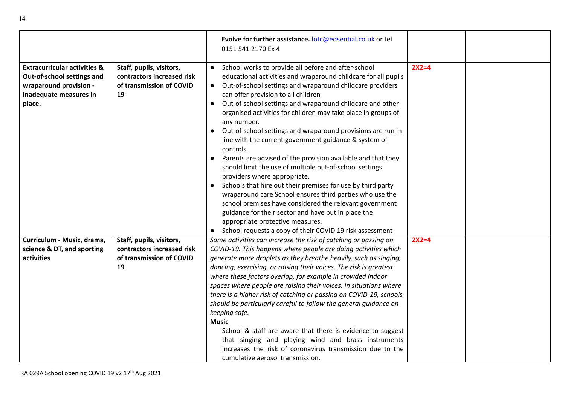|                                                                                                                                     |                                                                                          | Evolve for further assistance. lotc@edsential.co.uk or tel<br>0151 541 2170 Ex 4                                                                                                                                                                                                                                                                                                                                                                                                                                                                                                                                                                                                                                                                                                                                                                                                                                                                                                                                                                                        |         |  |
|-------------------------------------------------------------------------------------------------------------------------------------|------------------------------------------------------------------------------------------|-------------------------------------------------------------------------------------------------------------------------------------------------------------------------------------------------------------------------------------------------------------------------------------------------------------------------------------------------------------------------------------------------------------------------------------------------------------------------------------------------------------------------------------------------------------------------------------------------------------------------------------------------------------------------------------------------------------------------------------------------------------------------------------------------------------------------------------------------------------------------------------------------------------------------------------------------------------------------------------------------------------------------------------------------------------------------|---------|--|
| <b>Extracurricular activities &amp;</b><br>Out-of-school settings and<br>wraparound provision -<br>inadequate measures in<br>place. | Staff, pupils, visitors,<br>contractors increased risk<br>of transmission of COVID<br>19 | School works to provide all before and after-school<br>$\bullet$<br>educational activities and wraparound childcare for all pupils<br>Out-of-school settings and wraparound childcare providers<br>$\bullet$<br>can offer provision to all children<br>Out-of-school settings and wraparound childcare and other<br>$\bullet$<br>organised activities for children may take place in groups of<br>any number.<br>Out-of-school settings and wraparound provisions are run in<br>line with the current government guidance & system of<br>controls.<br>Parents are advised of the provision available and that they<br>should limit the use of multiple out-of-school settings<br>providers where appropriate.<br>Schools that hire out their premises for use by third party<br>wraparound care School ensures third parties who use the<br>school premises have considered the relevant government<br>guidance for their sector and have put in place the<br>appropriate protective measures.<br>School requests a copy of their COVID 19 risk assessment<br>$\bullet$ | $2X2=4$ |  |
| Curriculum - Music, drama,                                                                                                          | Staff, pupils, visitors,                                                                 | Some activities can increase the risk of catching or passing on                                                                                                                                                                                                                                                                                                                                                                                                                                                                                                                                                                                                                                                                                                                                                                                                                                                                                                                                                                                                         | $2X2=4$ |  |
| science & DT, and sporting                                                                                                          | contractors increased risk                                                               | COVID-19. This happens where people are doing activities which                                                                                                                                                                                                                                                                                                                                                                                                                                                                                                                                                                                                                                                                                                                                                                                                                                                                                                                                                                                                          |         |  |
| activities                                                                                                                          | of transmission of COVID                                                                 | generate more droplets as they breathe heavily, such as singing,                                                                                                                                                                                                                                                                                                                                                                                                                                                                                                                                                                                                                                                                                                                                                                                                                                                                                                                                                                                                        |         |  |
|                                                                                                                                     | 19                                                                                       | dancing, exercising, or raising their voices. The risk is greatest                                                                                                                                                                                                                                                                                                                                                                                                                                                                                                                                                                                                                                                                                                                                                                                                                                                                                                                                                                                                      |         |  |
|                                                                                                                                     |                                                                                          | where these factors overlap, for example in crowded indoor                                                                                                                                                                                                                                                                                                                                                                                                                                                                                                                                                                                                                                                                                                                                                                                                                                                                                                                                                                                                              |         |  |
|                                                                                                                                     |                                                                                          | spaces where people are raising their voices. In situations where<br>there is a higher risk of catching or passing on COVID-19, schools                                                                                                                                                                                                                                                                                                                                                                                                                                                                                                                                                                                                                                                                                                                                                                                                                                                                                                                                 |         |  |
|                                                                                                                                     |                                                                                          | should be particularly careful to follow the general guidance on                                                                                                                                                                                                                                                                                                                                                                                                                                                                                                                                                                                                                                                                                                                                                                                                                                                                                                                                                                                                        |         |  |
|                                                                                                                                     |                                                                                          | keeping safe.                                                                                                                                                                                                                                                                                                                                                                                                                                                                                                                                                                                                                                                                                                                                                                                                                                                                                                                                                                                                                                                           |         |  |
|                                                                                                                                     |                                                                                          | <b>Music</b>                                                                                                                                                                                                                                                                                                                                                                                                                                                                                                                                                                                                                                                                                                                                                                                                                                                                                                                                                                                                                                                            |         |  |
|                                                                                                                                     |                                                                                          | School & staff are aware that there is evidence to suggest                                                                                                                                                                                                                                                                                                                                                                                                                                                                                                                                                                                                                                                                                                                                                                                                                                                                                                                                                                                                              |         |  |
|                                                                                                                                     |                                                                                          | that singing and playing wind and brass instruments                                                                                                                                                                                                                                                                                                                                                                                                                                                                                                                                                                                                                                                                                                                                                                                                                                                                                                                                                                                                                     |         |  |
|                                                                                                                                     |                                                                                          | increases the risk of coronavirus transmission due to the                                                                                                                                                                                                                                                                                                                                                                                                                                                                                                                                                                                                                                                                                                                                                                                                                                                                                                                                                                                                               |         |  |
|                                                                                                                                     |                                                                                          | cumulative aerosol transmission.                                                                                                                                                                                                                                                                                                                                                                                                                                                                                                                                                                                                                                                                                                                                                                                                                                                                                                                                                                                                                                        |         |  |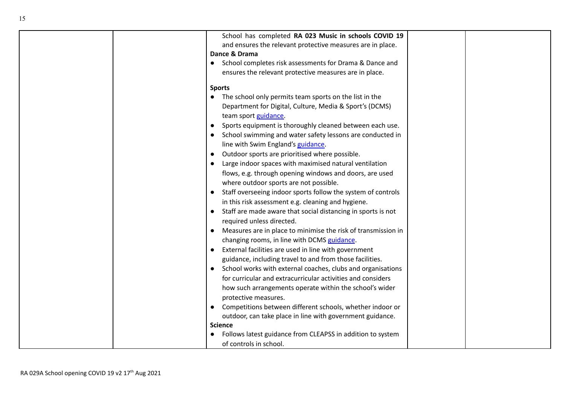| School has completed RA 023 Music in schools COVID 19<br>and ensures the relevant protective measures are in place. |  |
|---------------------------------------------------------------------------------------------------------------------|--|
| Dance & Drama                                                                                                       |  |
| School completes risk assessments for Drama & Dance and                                                             |  |
| ensures the relevant protective measures are in place.                                                              |  |
|                                                                                                                     |  |
| <b>Sports</b>                                                                                                       |  |
| • The school only permits team sports on the list in the                                                            |  |
| Department for Digital, Culture, Media & Sport's (DCMS)                                                             |  |
| team sport guidance.                                                                                                |  |
| Sports equipment is thoroughly cleaned between each use.                                                            |  |
| School swimming and water safety lessons are conducted in                                                           |  |
| line with Swim England's guidance.                                                                                  |  |
| Outdoor sports are prioritised where possible.                                                                      |  |
| Large indoor spaces with maximised natural ventilation                                                              |  |
| flows, e.g. through opening windows and doors, are used                                                             |  |
| where outdoor sports are not possible.                                                                              |  |
| Staff overseeing indoor sports follow the system of controls                                                        |  |
| in this risk assessment e.g. cleaning and hygiene.                                                                  |  |
| Staff are made aware that social distancing in sports is not                                                        |  |
| required unless directed.                                                                                           |  |
| Measures are in place to minimise the risk of transmission in                                                       |  |
| changing rooms, in line with DCMS guidance.                                                                         |  |
| External facilities are used in line with government                                                                |  |
| guidance, including travel to and from those facilities.                                                            |  |
| School works with external coaches, clubs and organisations                                                         |  |
| for curricular and extracurricular activities and considers                                                         |  |
| how such arrangements operate within the school's wider                                                             |  |
| protective measures.                                                                                                |  |
| Competitions between different schools, whether indoor or                                                           |  |
| outdoor, can take place in line with government guidance.                                                           |  |
| <b>Science</b>                                                                                                      |  |
| Follows latest guidance from CLEAPSS in addition to system                                                          |  |
| of controls in school.                                                                                              |  |
|                                                                                                                     |  |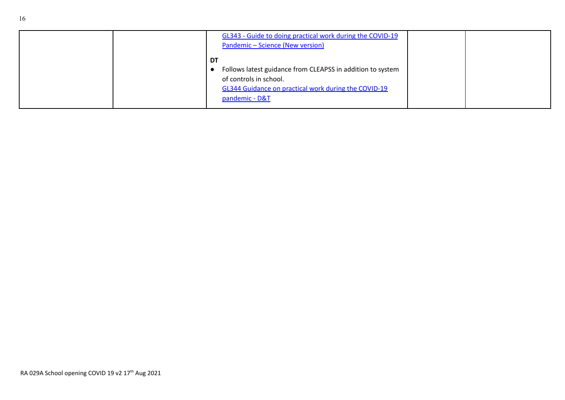|  | GL343 - Guide to doing practical work during the COVID-19<br>Pandemic - Science (New version)                                                                        |  |
|--|----------------------------------------------------------------------------------------------------------------------------------------------------------------------|--|
|  | DT<br>Follows latest guidance from CLEAPSS in addition to system<br>of controls in school.<br>GL344 Guidance on practical work during the COVID-19<br>pandemic - D&T |  |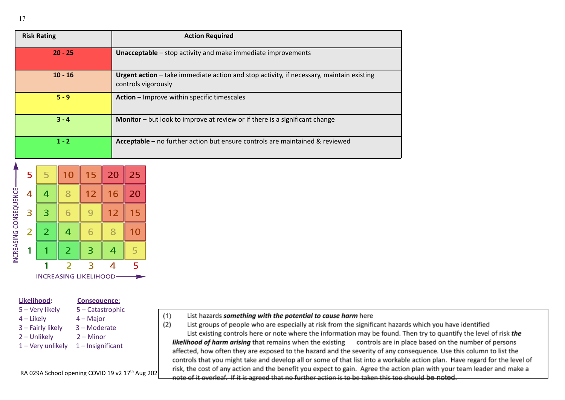| <b>Risk Rating</b> | <b>Action Required</b>                                                                                          |
|--------------------|-----------------------------------------------------------------------------------------------------------------|
| $20 - 25$          | <b>Unacceptable</b> - stop activity and make immediate improvements                                             |
| $10 - 16$          | Urgent action - take immediate action and stop activity, if necessary, maintain existing<br>controls vigorously |
| $5 - 9$            | Action - Improve within specific timescales                                                                     |
| $3 - 4$            | Monitor – but look to improve at review or if there is a significant change                                     |
| $1 - 2$            | Acceptable - no further action but ensure controls are maintained & reviewed                                    |

 $(1)$ 



#### **Likelihood: Consequence**:

- 5 Very likely 5 Catastrophic
- 4 Likely 4 Major
- 3 Fairly likely 3 Moderate
- 2 Unlikely 2 Minor
- 1 Very unlikely 1 Insignificant

RA 029A School opening COVID 19 v2 17<sup>th</sup> Aug 202

|  | List hazards something with the potential to cause harm here |
|--|--------------------------------------------------------------|
|--|--------------------------------------------------------------|

 $(2)$ List groups of people who are especially at risk from the significant hazards which you have identified List existing controls here or note where the information may be found. Then try to quantify the level of risk the likelihood of harm arising that remains when the existing controls are in place based on the number of persons affected, how often they are exposed to the hazard and the severity of any consequence. Use this column to list the controls that you might take and develop all or some of that list into a workable action plan. Have regard for the level of risk, the cost of any action and the benefit you expect to gain. Agree the action plan with your team leader and make a note of it overleaf. If it is agreed that no further action is to be taken this too should be noted.